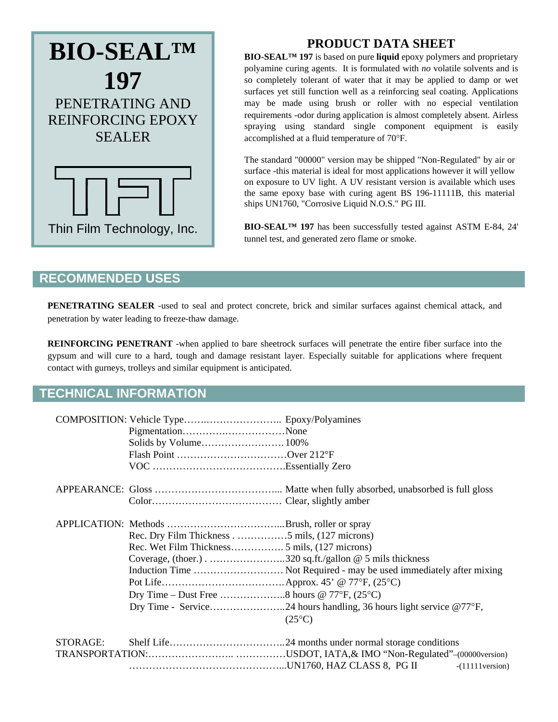

## **PRODUCT DATA SHEET**

**BIO-SEAL™ 197** is based on pure **liquid** epoxy polymers and proprietary polyamine curing agents. It is formulated with *no* volatile solvents and is so completely tolerant of water that it may be applied to damp or wet surfaces yet still function well as a reinforcing seal coating. Applications may be made using brush or roller with no especial ventilation requirements -odor during application is almost completely absent. Airless spraying using standard single component equipment is easily accomplished at a fluid temperature of 70F.

The standard "00000" version may be shipped "Non-Regulated" by air or surface -this material is ideal for most applications however it will yellow on exposure to UV light. A UV resistant version is available which uses the same epoxy base with curing agent BS 196-11111B, this material ships UN1760, "Corrosive Liquid N.O.S." PG III.

**BIO-SEAL™ 197** has been successfully tested against ASTM E-84, 24' tunnel test, and generated zero flame or smoke.

## **RECOMMENDED USES**

**PENETRATING SEALER** -used to seal and protect concrete, brick and similar surfaces against chemical attack, and penetration by water leading to freeze-thaw damage.

**REINFORCING PENETRANT** -when applied to bare sheetrock surfaces will penetrate the entire fiber surface into the gypsum and will cure to a hard, tough and damage resistant layer. Especially suitable for applications where frequent contact with gurneys, trolleys and similar equipment is anticipated.

## **TECHNICAL INFORMATION**

|          | PigmentationNone                                       |                                                                     |
|----------|--------------------------------------------------------|---------------------------------------------------------------------|
|          |                                                        |                                                                     |
|          | Flash Point Over 212°F                                 |                                                                     |
|          |                                                        |                                                                     |
|          |                                                        |                                                                     |
|          |                                                        |                                                                     |
|          |                                                        |                                                                     |
|          | Rec. Dry Film Thickness5 mils, (127 microns)           |                                                                     |
|          |                                                        |                                                                     |
|          | Coverage, (thoer.)320 sq.ft./gallon @ 5 mils thickness |                                                                     |
|          |                                                        | Induction Time  Not Required - may be used immediately after mixing |
|          |                                                        |                                                                     |
|          | Dry Time – Dust Free 8 hours @ 77°F, $(25^{\circ}C)$   |                                                                     |
|          |                                                        |                                                                     |
|          |                                                        | $(25^{\circ}C)$                                                     |
| STORAGE: |                                                        |                                                                     |
|          |                                                        |                                                                     |
|          |                                                        | $-(11111)$ version)                                                 |